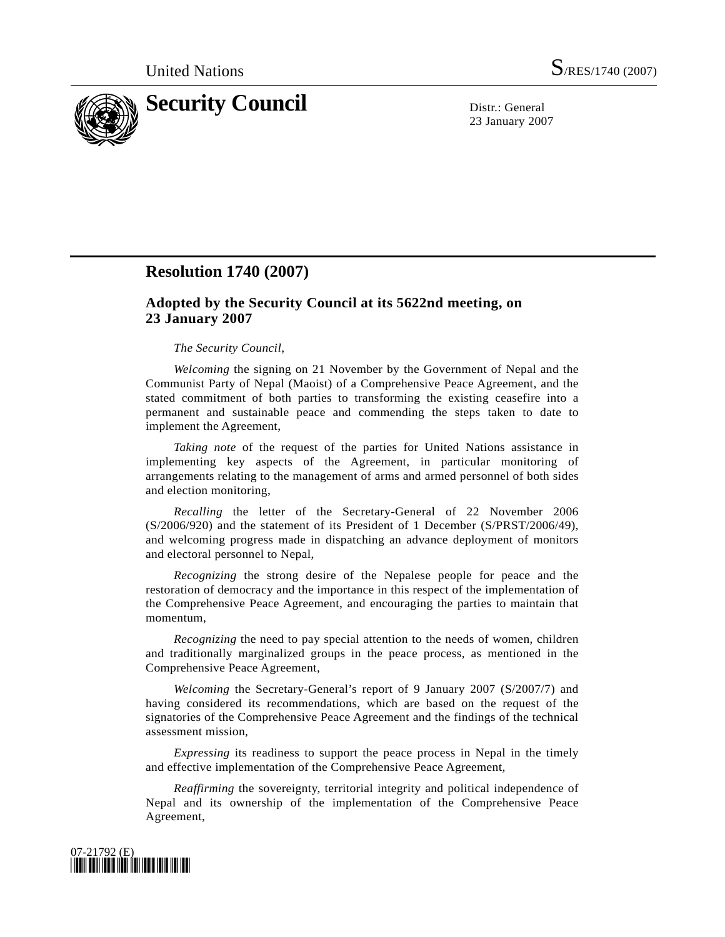

23 January 2007

## **Resolution 1740 (2007)**

## **Adopted by the Security Council at its 5622nd meeting, on 23 January 2007**

## *The Security Council*,

*Welcoming* the signing on 21 November by the Government of Nepal and the Communist Party of Nepal (Maoist) of a Comprehensive Peace Agreement, and the stated commitment of both parties to transforming the existing ceasefire into a permanent and sustainable peace and commending the steps taken to date to implement the Agreement,

*Taking note* of the request of the parties for United Nations assistance in implementing key aspects of the Agreement, in particular monitoring of arrangements relating to the management of arms and armed personnel of both sides and election monitoring,

*Recalling* the letter of the Secretary-General of 22 November 2006 (S/2006/920) and the statement of its President of 1 December (S/PRST/2006/49), and welcoming progress made in dispatching an advance deployment of monitors and electoral personnel to Nepal,

*Recognizing* the strong desire of the Nepalese people for peace and the restoration of democracy and the importance in this respect of the implementation of the Comprehensive Peace Agreement, and encouraging the parties to maintain that momentum,

*Recognizing* the need to pay special attention to the needs of women, children and traditionally marginalized groups in the peace process, as mentioned in the Comprehensive Peace Agreement,

*Welcoming* the Secretary-General's report of 9 January 2007 (S/2007/7) and having considered its recommendations, which are based on the request of the signatories of the Comprehensive Peace Agreement and the findings of the technical assessment mission,

*Expressing* its readiness to support the peace process in Nepal in the timely and effective implementation of the Comprehensive Peace Agreement,

*Reaffirming* the sovereignty, territorial integrity and political independence of Nepal and its ownership of the implementation of the Comprehensive Peace Agreement,